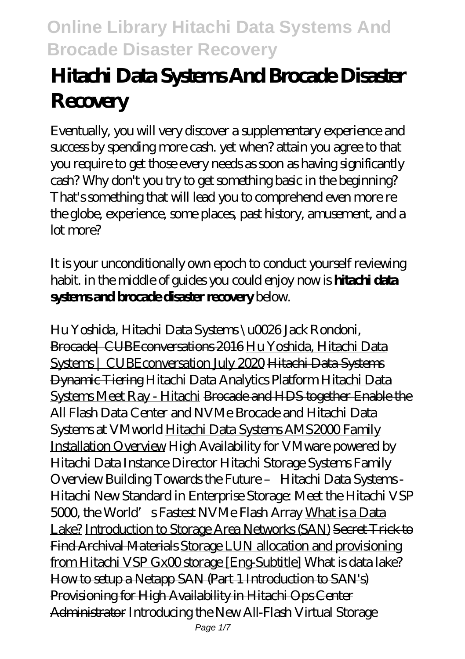# **Hitachi Data Systems And Brocade Disaster Recovery**

Eventually, you will very discover a supplementary experience and success by spending more cash. yet when? attain you agree to that you require to get those every needs as soon as having significantly cash? Why don't you try to get something basic in the beginning? That's something that will lead you to comprehend even more re the globe, experience, some places, past history, amusement, and a lot more?

It is your unconditionally own epoch to conduct yourself reviewing habit. in the middle of guides you could enjoy now is **hitachi data systems and brocade disaster recovery** below.

Hu Yoshida, Hitachi Data Systems \u0026 Jack Rondoni, Brocade| CUBEconversations 2016 Hu Yoshida, Hitachi Data Systems | CUBEconversation July 2020 Hitachi Data Systems Dynamic Tiering Hitachi Data Analytics Platform Hitachi Data Systems Meet Ray - Hitachi Brocade and HDS together Enable the All Flash Data Center and NVMe *Brocade and Hitachi Data Systems at VMworld* Hitachi Data Systems AMS2000 Family Installation Overview *High Availability for VMware powered by Hitachi Data Instance Director Hitachi Storage Systems Family Overview Building Towards the Future – Hitachi Data Systems - Hitachi* New Standard in Enterprise Storage: Meet the Hitachi VSP 5000, the World's Fastest NVMe Flash Array What is a Data Lake? Introduction to Storage Area Networks (SAN) Secret Trick to Find Archival Materials Storage LUN allocation and provisioning from Hitachi VSP Gx00 storage [Eng-Subtitle] What is data lake? How to setup a Netapp SAN (Part 1 Introduction to SAN's) Provisioning for High Availability in Hitachi Ops Center Administrator *Introducing the New All-Flash Virtual Storage*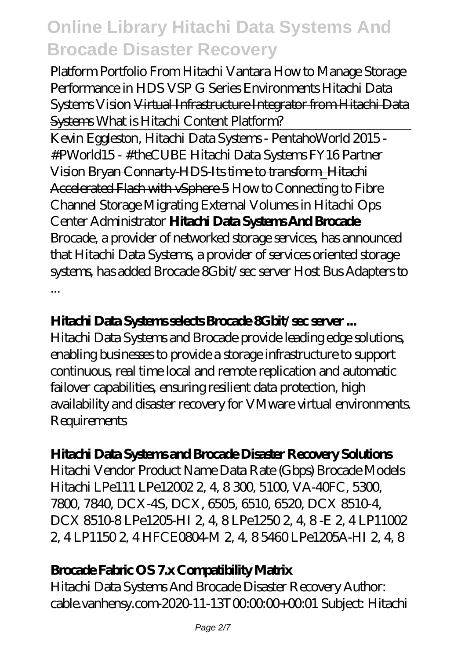*Platform Portfolio From Hitachi Vantara* How to Manage Storage Performance in HDS VSP G Series Environments *Hitachi Data Systems Vision* Virtual Infrastructure Integrator from Hitachi Data Systems *What is Hitachi Content Platform?*

Kevin Eggleston, Hitachi Data Systems - PentahoWorld 2015 - #PWorld15 - #theCUBE Hitachi Data Systems FY16 Partner Vision Bryan Connarty-HDS-Its time to transform\_Hitachi Accelerated Flash with vSphere 5 *How to Connecting to Fibre Channel Storage Migrating External Volumes in Hitachi Ops Center Administrator* **Hitachi Data Systems And Brocade** Brocade, a provider of networked storage services, has announced that Hitachi Data Systems, a provider of services oriented storage systems, has added Brocade 8Gbit/sec server Host Bus Adapters to ...

#### **Hitachi Data Systems selects Brocade 8Gbit/sec server ...**

Hitachi Data Systems and Brocade provide leading edge solutions, enabling businesses to provide a storage infrastructure to support continuous, real time local and remote replication and automatic failover capabilities, ensuring resilient data protection, high availability and disaster recovery for VMware virtual environments. **Requirements** 

#### **Hitachi Data Systems and Brocade Disaster Recovery Solutions**

Hitachi Vendor Product Name Data Rate (Gbps) Brocade Models Hitachi LPe111 LPe12002 2, 4, 8 300, 5100, VA-40FC, 5300, 7800, 7840, DCX-4S, DCX, 6505, 6510, 6520, DCX 8510-4, DCX 8510-8 LPe1205-HI 2, 4, 8 LPe1250 2, 4, 8 - E 2, 4 LP11002 2, 4LP11502, 4HFCE0804M2, 4, 85460LPe1205A-HI 2, 4, 8

#### **Brocade Fabric OS 7.x Compatibility Matrix**

Hitachi Data Systems And Brocade Disaster Recovery Author: cable.vanhensy.com-2020-11-13T000000+0001 Subject: Hitachi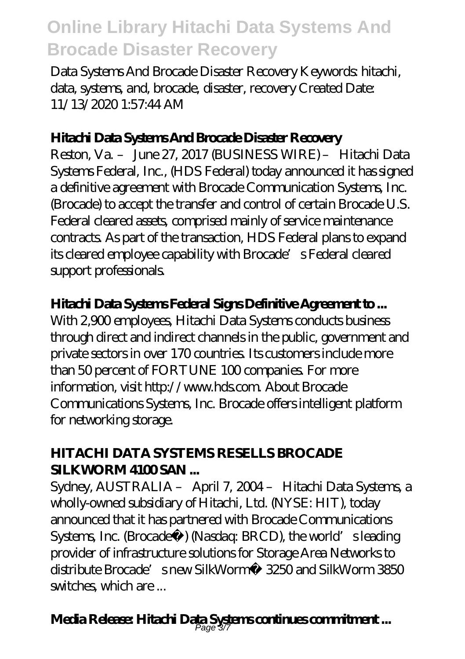Data Systems And Brocade Disaster Recovery Keywords: hitachi, data, systems, and, brocade, disaster, recovery Created Date: 11/13/2020 1:57:44 AM

#### **Hitachi Data Systems And Brocade Disaster Recovery**

Reston, Va. – June 27, 2017 (BUSINESS WIRE) – Hitachi Data Systems Federal, Inc., (HDS Federal) today announced it has signed a definitive agreement with Brocade Communication Systems, Inc. (Brocade) to accept the transfer and control of certain Brocade U.S. Federal cleared assets, comprised mainly of service maintenance contracts. As part of the transaction, HDS Federal plans to expand its cleared employee capability with Brocade's Federal cleared support professionals.

#### **Hitachi Data Systems Federal Signs Definitive Agreement to ...**

With 2,900 employees, Hitachi Data Systems conducts business through direct and indirect channels in the public, government and private sectors in over 170 countries. Its customers include more than 50 percent of FORTUNE 100 companies. For more information, visit http://www.hds.com. About Brocade Communications Systems, Inc. Brocade offers intelligent platform for networking storage.

#### **HITACHI DATA SYSTEMS RESELLS BROCADE SII KWORM 4100 SAN ...**

Sydney, AUSTRALIA – April 7, 2004 – Hitachi Data Systems, a wholly-owned subsidiary of Hitachi, Ltd. (NYSE: HIT), today announced that it has partnered with Brocade Communications Systems, Inc. (Brocade®) (Nasdaq: BRCD), the world's leading provider of infrastructure solutions for Storage Area Networks to distribute Brocade's new SilkWorm® 3250 and SilkWorm 3850 switches, which are ...

# **Media Release: Hitachi Data Systems continues commitment ...** Page 3/7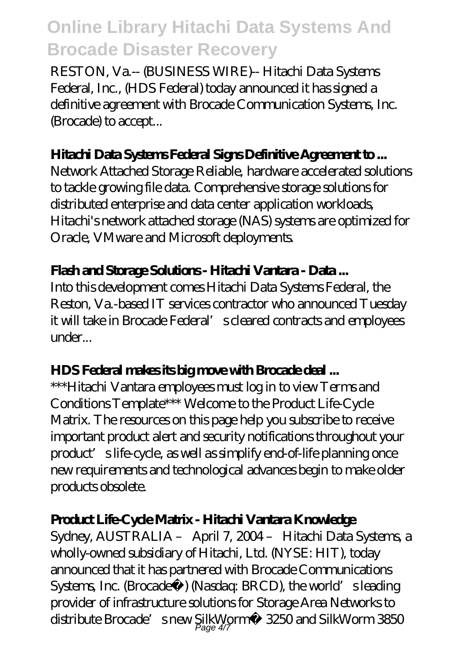RESTON, Va.-- (BUSINESS WIRE)-- Hitachi Data Systems Federal, Inc., (HDS Federal) today announced it has signed a definitive agreement with Brocade Communication Systems, Inc. (Brocade) to accept...

#### **Hitachi Data Systems Federal Signs Definitive Agreement to ...**

Network Attached Storage Reliable, hardware accelerated solutions to tackle growing file data. Comprehensive storage solutions for distributed enterprise and data center application workloads, Hitachi's network attached storage (NAS) systems are optimized for Oracle, VMware and Microsoft deployments.

#### **Flash and Storage Solutions - Hitachi Vantara - Data ...**

Into this development comes Hitachi Data Systems Federal, the Reston, Va.-based IT services contractor who announced Tuesday it will take in Brocade Federal' scleared contracts and employees under...

#### **HDS Federal makes its big move with Brocade deal ...**

\*\*\*Hitachi Vantara employees must log in to view Terms and Conditions Template\*\*\* Welcome to the Product Life-Cycle Matrix. The resources on this page help you subscribe to receive important product alert and security notifications throughout your product's life-cycle, as well as simplify end-of-life planning once new requirements and technological advances begin to make older products obsolete.

#### **Product Life-Cycle Matrix - Hitachi Vantara Knowledge**

Sydney, AUSTRALIA – April 7, 2004 – Hitachi Data Systems, a wholly-owned subsidiary of Hitachi, Ltd. (NYSE: HIT), today announced that it has partnered with Brocade Communications Systems, Inc. (Brocade®) (Nasdaq: BRCD), the world's leading provider of infrastructure solutions for Storage Area Networks to distribute Brocade's new SilkWorm® 3250 and SilkWorm 3850 Page 4/7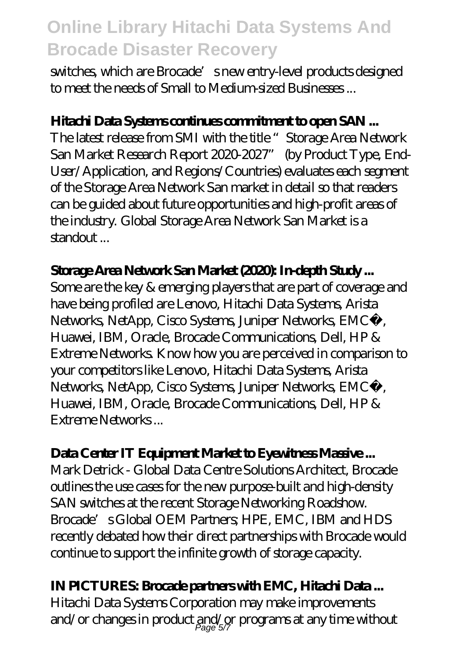switches, which are Brocade's new entry-level products designed to meet the needs of Small to Medium-sized Businesses ...

#### **Hitachi Data Systems continues commitment to open SAN ...**

The latest release from SMI with the title "Storage Area Network San Market Research Report 2020-2027" (by Product Type, End-User/Application, and Regions/Countries) evaluates each segment of the Storage Area Network San market in detail so that readers can be guided about future opportunities and high-profit areas of the industry. Global Storage Area Network San Market is a standout ...

#### **Storage Area Network San Market (2020): In-depth Study ...**

Some are the key & emerging players that are part of coverage and have being profiled are Lenovo, Hitachi Data Systems, Arista Networks, NetApp, Cisco Systems, Juniper Networks, EMC<sup>2</sup>, Huawei, IBM, Oracle, Brocade Communications, Dell, HP & Extreme Networks. Know how you are perceived in comparison to your competitors like Lenovo, Hitachi Data Systems, Arista Networks, NetApp, Cisco Systems, Juniper Networks, EMC<sup>2</sup>, Huawei, IBM, Oracle, Brocade Communications, Dell, HP & Extreme Networks ...

#### **Data Center IT Equipment Market to Eyewitness Massive ...**

Mark Detrick - Global Data Centre Solutions Architect, Brocade outlines the use cases for the new purpose-built and high-density SAN switches at the recent Storage Networking Roadshow. Brocade's Global OEM Partners; HPE, EMC, IBM and HDS recently debated how their direct partnerships with Brocade would continue to support the infinite growth of storage capacity.

#### **IN PICTURES: Brocade partners with EMC, Hitachi Data ...**

Hitachi Data Systems Corporation may make improvements and/or changes in product and/or programs at any time without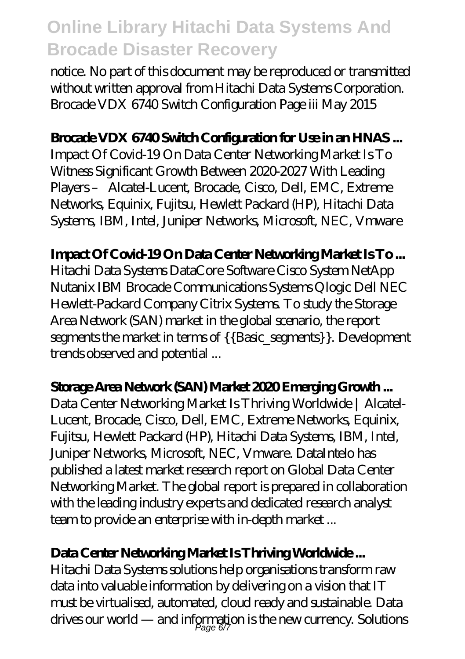notice. No part of this document may be reproduced or transmitted without written approval from Hitachi Data Systems Corporation. Brocade VDX 6740 Switch Configuration Page iii May 2015

#### **Brocade VDX 6740 Switch Configuration for Use in an HNAS ...**

Impact Of Covid-19 On Data Center Networking Market Is To Witness Significant Growth Between 2020-2027 With Leading Players – Alcatel-Lucent, Brocade, Cisco, Dell, EMC, Extreme Networks, Equinix, Fujitsu, Hewlett Packard (HP), Hitachi Data Systems, IBM, Intel, Juniper Networks, Microsoft, NEC, Vmware

#### **Impact Of Covid-19 On Data Center Networking Market Is To ...**

Hitachi Data Systems DataCore Software Cisco System NetApp Nutanix IBM Brocade Communications Systems Qlogic Dell NEC Hewlett-Packard Company Citrix Systems. To study the Storage Area Network (SAN) market in the global scenario, the report segments the market in terms of {{Basic\_segments}}. Development trends observed and potential ...

#### **Storage Area Network (SAN) Market 2020 Emerging Growth ...**

Data Center Networking Market Is Thriving Worldwide | Alcatel-Lucent, Brocade, Cisco, Dell, EMC, Extreme Networks, Equinix, Fujitsu, Hewlett Packard (HP), Hitachi Data Systems, IBM, Intel, Juniper Networks, Microsoft, NEC, Vmware. DataIntelo has published a latest market research report on Global Data Center Networking Market. The global report is prepared in collaboration with the leading industry experts and dedicated research analyst team to provide an enterprise with in-depth market ...

#### **Data Center Networking Market Is Thriving Worldwide ...**

Hitachi Data Systems solutions help organisations transform raw data into valuable information by delivering on a vision that IT must be virtualised, automated, cloud ready and sustainable. Data drives our world — and information is the new currency. Solutions